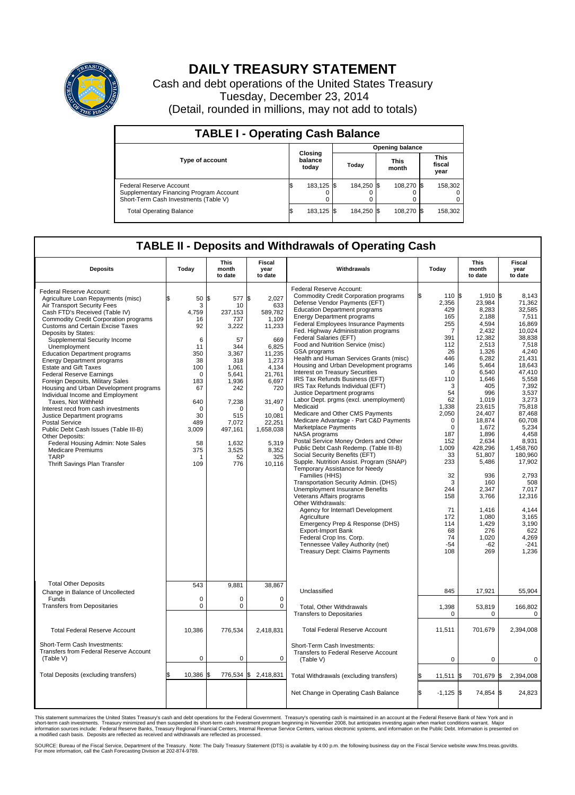

## **DAILY TREASURY STATEMENT**

Cash and debt operations of the United States Treasury Tuesday, December 23, 2014 (Detail, rounded in millions, may not add to totals)

| <b>TABLE I - Operating Cash Balance</b>                                                                     |                        |                             |  |                               |  |            |                               |         |  |
|-------------------------------------------------------------------------------------------------------------|------------------------|-----------------------------|--|-------------------------------|--|------------|-------------------------------|---------|--|
|                                                                                                             | <b>Opening balance</b> |                             |  |                               |  |            |                               |         |  |
| <b>Type of account</b>                                                                                      |                        | Closing<br>balance<br>today |  | <b>This</b><br>Todav<br>month |  |            | <b>This</b><br>fiscal<br>year |         |  |
| Federal Reserve Account<br>Supplementary Financing Program Account<br>Short-Term Cash Investments (Table V) |                        | 183,125 \$                  |  | 184.250 \$                    |  | 108.270 \$ |                               | 158,302 |  |
| <b>Total Operating Balance</b>                                                                              |                        | 183,125 \$                  |  | 184,250 \$                    |  | 108.270 \$ |                               | 158,302 |  |

## **TABLE II - Deposits and Withdrawals of Operating Cash**

| <b>Deposits</b>                                                                                                                                                                                                                                                                                                                                                                                                                                                                                                                                                                                                                                                                                                                                                                                                                                                       | Today                                                                                                                                                         | <b>This</b><br>month<br>to date                                                                                                                                                    | <b>Fiscal</b><br>year<br>to date                                                                                                                                                                                 | Withdrawals                                                                                                                                                                                                                                                                                                                                                                                                                                                                                                                                                                                                                                                                                                                                                                                                                                                                                                                                                                                                                                                                                                                                                                                                                                                                                                                                          | Today                                                                                                                                                                                                                                                                     | <b>This</b><br>month<br>to date                                                                                                                                                                                                                                                                                                   | Fiscal<br>year<br>to date                                                                                                                                                                                                                                                                                                                        |
|-----------------------------------------------------------------------------------------------------------------------------------------------------------------------------------------------------------------------------------------------------------------------------------------------------------------------------------------------------------------------------------------------------------------------------------------------------------------------------------------------------------------------------------------------------------------------------------------------------------------------------------------------------------------------------------------------------------------------------------------------------------------------------------------------------------------------------------------------------------------------|---------------------------------------------------------------------------------------------------------------------------------------------------------------|------------------------------------------------------------------------------------------------------------------------------------------------------------------------------------|------------------------------------------------------------------------------------------------------------------------------------------------------------------------------------------------------------------|------------------------------------------------------------------------------------------------------------------------------------------------------------------------------------------------------------------------------------------------------------------------------------------------------------------------------------------------------------------------------------------------------------------------------------------------------------------------------------------------------------------------------------------------------------------------------------------------------------------------------------------------------------------------------------------------------------------------------------------------------------------------------------------------------------------------------------------------------------------------------------------------------------------------------------------------------------------------------------------------------------------------------------------------------------------------------------------------------------------------------------------------------------------------------------------------------------------------------------------------------------------------------------------------------------------------------------------------------|---------------------------------------------------------------------------------------------------------------------------------------------------------------------------------------------------------------------------------------------------------------------------|-----------------------------------------------------------------------------------------------------------------------------------------------------------------------------------------------------------------------------------------------------------------------------------------------------------------------------------|--------------------------------------------------------------------------------------------------------------------------------------------------------------------------------------------------------------------------------------------------------------------------------------------------------------------------------------------------|
| Federal Reserve Account:<br>Agriculture Loan Repayments (misc)<br>Air Transport Security Fees<br>Cash FTD's Received (Table IV)<br><b>Commodity Credit Corporation programs</b><br><b>Customs and Certain Excise Taxes</b><br>Deposits by States:<br>Supplemental Security Income<br>Unemployment<br><b>Education Department programs</b><br><b>Energy Department programs</b><br><b>Estate and Gift Taxes</b><br><b>Federal Reserve Earnings</b><br>Foreign Deposits, Military Sales<br>Housing and Urban Development programs<br>Individual Income and Employment<br>Taxes. Not Withheld<br>Interest recd from cash investments<br>Justice Department programs<br><b>Postal Service</b><br>Public Debt Cash Issues (Table III-B)<br>Other Deposits:<br>Federal Housing Admin: Note Sales<br><b>Medicare Premiums</b><br><b>TARP</b><br>Thrift Savings Plan Transfer | 50<br>\$<br>3<br>4,759<br>16<br>92<br>6<br>11<br>350<br>38<br>100<br>$\mathbf 0$<br>183<br>67<br>640<br>$\mathbf 0$<br>30<br>489<br>3,009<br>58<br>375<br>109 | 1\$<br>577<br>10<br>237.153<br>737<br>3,222<br>57<br>344<br>3,367<br>318<br>1,061<br>5,641<br>1,936<br>242<br>7,238<br>O<br>515<br>7,072<br>497,161<br>1,632<br>3,525<br>52<br>776 | \$<br>2,027<br>633<br>589,782<br>1,109<br>11,233<br>669<br>6,825<br>11,235<br>1,273<br>4,134<br>21,761<br>6,697<br>720<br>31,497<br>$\Omega$<br>10,081<br>22,251<br>1,658,038<br>5,319<br>8,352<br>325<br>10,116 | Federal Reserve Account:<br><b>Commodity Credit Corporation programs</b><br>Defense Vendor Payments (EFT)<br><b>Education Department programs</b><br><b>Energy Department programs</b><br><b>Federal Employees Insurance Payments</b><br>Fed. Highway Administration programs<br>Federal Salaries (EFT)<br>Food and Nutrition Service (misc)<br>GSA programs<br>Health and Human Services Grants (misc)<br>Housing and Urban Development programs<br>Interest on Treasury Securities<br>IRS Tax Refunds Business (EFT)<br>IRS Tax Refunds Individual (EFT)<br>Justice Department programs<br>Labor Dept. prgms (excl. unemployment)<br>Medicaid<br>Medicare and Other CMS Payments<br>Medicare Advantage - Part C&D Payments<br>Marketplace Payments<br>NASA programs<br>Postal Service Money Orders and Other<br>Public Debt Cash Redemp. (Table III-B)<br>Social Security Benefits (EFT)<br>Supple. Nutrition Assist. Program (SNAP)<br>Temporary Assistance for Needy<br>Families (HHS)<br>Transportation Security Admin. (DHS)<br>Unemployment Insurance Benefits<br>Veterans Affairs programs<br>Other Withdrawals:<br>Agency for Internat'l Development<br>Agriculture<br>Emergency Prep & Response (DHS)<br><b>Export-Import Bank</b><br>Federal Crop Ins. Corp.<br>Tennessee Valley Authority (net)<br><b>Treasury Dept: Claims Payments</b> | 110 \$<br>2,356<br>429<br>165<br>255<br>7<br>391<br>112<br>26<br>446<br>146<br>$\Omega$<br>110<br>3<br>54<br>62<br>1,338<br>2,050<br>$\Omega$<br>$\mathbf 0$<br>187<br>152<br>1,009<br>33<br>233<br>32<br>3<br>244<br>158<br>71<br>172<br>114<br>68<br>74<br>$-54$<br>108 | $1.910$ \$<br>23,984<br>8,283<br>2,188<br>4,594<br>2,432<br>12,382<br>2,513<br>1,326<br>6,282<br>5,464<br>6,540<br>1,646<br>405<br>996<br>1,019<br>23.615<br>24,407<br>18.874<br>1,672<br>1,896<br>2,634<br>428,296<br>51,807<br>5,486<br>936<br>160<br>2.347<br>3,766<br>1,416<br>1,080<br>1,429<br>276<br>1,020<br>$-62$<br>269 | 8.143<br>71,362<br>32,585<br>7,511<br>16.869<br>10,024<br>38,838<br>7,518<br>4,240<br>21.431<br>18,643<br>47.410<br>5,558<br>7,392<br>3,537<br>3,273<br>75.818<br>87,468<br>60.708<br>5,234<br>4.458<br>8,931<br>1,458,760<br>180,960<br>17,902<br>2,793<br>508<br>7.017<br>12,316<br>4.144<br>3,165<br>3,190<br>622<br>4,269<br>$-241$<br>1,236 |
| <b>Total Other Deposits</b><br>Change in Balance of Uncollected                                                                                                                                                                                                                                                                                                                                                                                                                                                                                                                                                                                                                                                                                                                                                                                                       | 543                                                                                                                                                           | 9,881                                                                                                                                                                              | 38,867                                                                                                                                                                                                           | Unclassified                                                                                                                                                                                                                                                                                                                                                                                                                                                                                                                                                                                                                                                                                                                                                                                                                                                                                                                                                                                                                                                                                                                                                                                                                                                                                                                                         | 845                                                                                                                                                                                                                                                                       | 17,921                                                                                                                                                                                                                                                                                                                            | 55,904                                                                                                                                                                                                                                                                                                                                           |
| Funds<br><b>Transfers from Depositaries</b>                                                                                                                                                                                                                                                                                                                                                                                                                                                                                                                                                                                                                                                                                                                                                                                                                           | $\mathbf 0$<br>$\mathbf 0$                                                                                                                                    | 0<br>0                                                                                                                                                                             | 0<br>$\mathbf 0$                                                                                                                                                                                                 | Total, Other Withdrawals<br><b>Transfers to Depositaries</b>                                                                                                                                                                                                                                                                                                                                                                                                                                                                                                                                                                                                                                                                                                                                                                                                                                                                                                                                                                                                                                                                                                                                                                                                                                                                                         | 1,398<br>0                                                                                                                                                                                                                                                                | 53,819<br>0                                                                                                                                                                                                                                                                                                                       | 166,802<br>0                                                                                                                                                                                                                                                                                                                                     |
| <b>Total Federal Reserve Account</b>                                                                                                                                                                                                                                                                                                                                                                                                                                                                                                                                                                                                                                                                                                                                                                                                                                  | 10,386                                                                                                                                                        | 776,534                                                                                                                                                                            | 2,418,831                                                                                                                                                                                                        | <b>Total Federal Reserve Account</b>                                                                                                                                                                                                                                                                                                                                                                                                                                                                                                                                                                                                                                                                                                                                                                                                                                                                                                                                                                                                                                                                                                                                                                                                                                                                                                                 | 11,511                                                                                                                                                                                                                                                                    | 701,679                                                                                                                                                                                                                                                                                                                           | 2,394,008                                                                                                                                                                                                                                                                                                                                        |
| Short-Term Cash Investments:<br>Transfers from Federal Reserve Account<br>(Table V)                                                                                                                                                                                                                                                                                                                                                                                                                                                                                                                                                                                                                                                                                                                                                                                   | $\mathbf 0$                                                                                                                                                   | 0                                                                                                                                                                                  | $\mathbf 0$                                                                                                                                                                                                      | Short-Term Cash Investments:<br>Transfers to Federal Reserve Account<br>(Table V)                                                                                                                                                                                                                                                                                                                                                                                                                                                                                                                                                                                                                                                                                                                                                                                                                                                                                                                                                                                                                                                                                                                                                                                                                                                                    | $\mathbf 0$                                                                                                                                                                                                                                                               | $\mathbf 0$                                                                                                                                                                                                                                                                                                                       | 0                                                                                                                                                                                                                                                                                                                                                |
| Total Deposits (excluding transfers)                                                                                                                                                                                                                                                                                                                                                                                                                                                                                                                                                                                                                                                                                                                                                                                                                                  | 10,386<br>\$                                                                                                                                                  | 776,534<br>ß.                                                                                                                                                                      | \$2,418,831                                                                                                                                                                                                      | Total Withdrawals (excluding transfers)                                                                                                                                                                                                                                                                                                                                                                                                                                                                                                                                                                                                                                                                                                                                                                                                                                                                                                                                                                                                                                                                                                                                                                                                                                                                                                              | 11,511                                                                                                                                                                                                                                                                    | 701,679 \$<br><b>S</b>                                                                                                                                                                                                                                                                                                            | 2,394,008                                                                                                                                                                                                                                                                                                                                        |
|                                                                                                                                                                                                                                                                                                                                                                                                                                                                                                                                                                                                                                                                                                                                                                                                                                                                       |                                                                                                                                                               |                                                                                                                                                                                    |                                                                                                                                                                                                                  | Net Change in Operating Cash Balance                                                                                                                                                                                                                                                                                                                                                                                                                                                                                                                                                                                                                                                                                                                                                                                                                                                                                                                                                                                                                                                                                                                                                                                                                                                                                                                 | \$.<br>$-1,125$ \$                                                                                                                                                                                                                                                        | 74,854 \$                                                                                                                                                                                                                                                                                                                         | 24,823                                                                                                                                                                                                                                                                                                                                           |

This statement summarizes the United States Treasury's cash and debt operations for the Federal Government. Treasury's operating cash is maintained in an account at the Federal Reserve Bank of New York and in<br>short-term ca

SOURCE: Bureau of the Fiscal Service, Department of the Treasury. Note: The Daily Treasury Statement (DTS) is available by 4:00 p.m. the following business day on the Fiscal Service website www.fms.treas.gov/dts.<br>For more